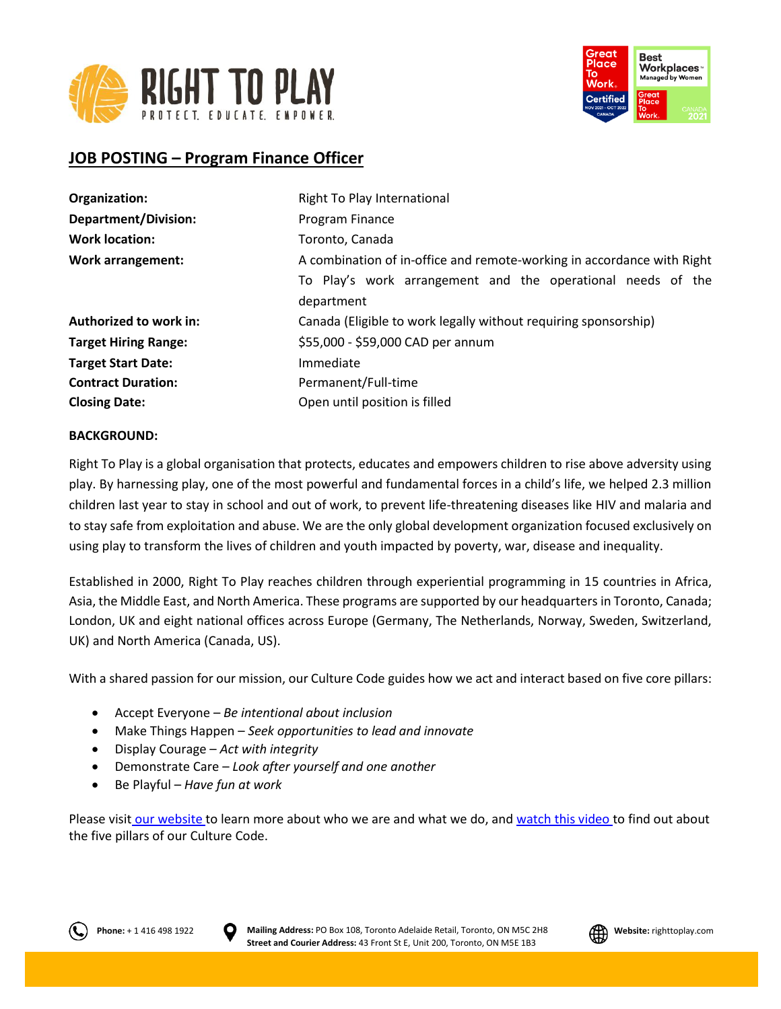



# **JOB POSTING – Program Finance Officer**

| Right To Play International                                            |
|------------------------------------------------------------------------|
| Program Finance                                                        |
| Toronto, Canada                                                        |
| A combination of in-office and remote-working in accordance with Right |
| To Play's work arrangement and the operational needs of the            |
| department                                                             |
| Canada (Eligible to work legally without requiring sponsorship)        |
| \$55,000 - \$59,000 CAD per annum                                      |
| Immediate                                                              |
| Permanent/Full-time                                                    |
| Open until position is filled                                          |
|                                                                        |

### **BACKGROUND:**

Right To Play is a global organisation that protects, educates and empowers children to rise above adversity using play. By harnessing play, one of the most powerful and fundamental forces in a child's life, we helped 2.3 million children last year to stay in school and out of work, to prevent life-threatening diseases like HIV and malaria and to stay safe from exploitation and abuse. We are the only global development organization focused exclusively on using play to transform the lives of children and youth impacted by poverty, war, disease and inequality.

Established in 2000, Right To Play reaches children through experiential programming in 15 countries in Africa, Asia, the Middle East, and North America. These programs are supported by our headquarters in Toronto, Canada; London, UK and eight national offices across Europe (Germany, The Netherlands, Norway, Sweden, Switzerland, UK) and North America (Canada, US).

With a shared passion for our mission, our Culture Code guides how we act and interact based on five core pillars:

- Accept Everyone *Be intentional about inclusion*
- Make Things Happen *Seek opportunities to lead and innovate*
- Display Courage *Act with integrity*
- Demonstrate Care *Look after yourself and one another*
- Be Playful *Have fun at work*

Please visit [our website](http://www.righttoplay.ca/) to learn more about who we are and what we do, and [watch this video](https://www.righttoplay.com/en/landing/our-culture-code/) to find out about the five pillars of our Culture Code.



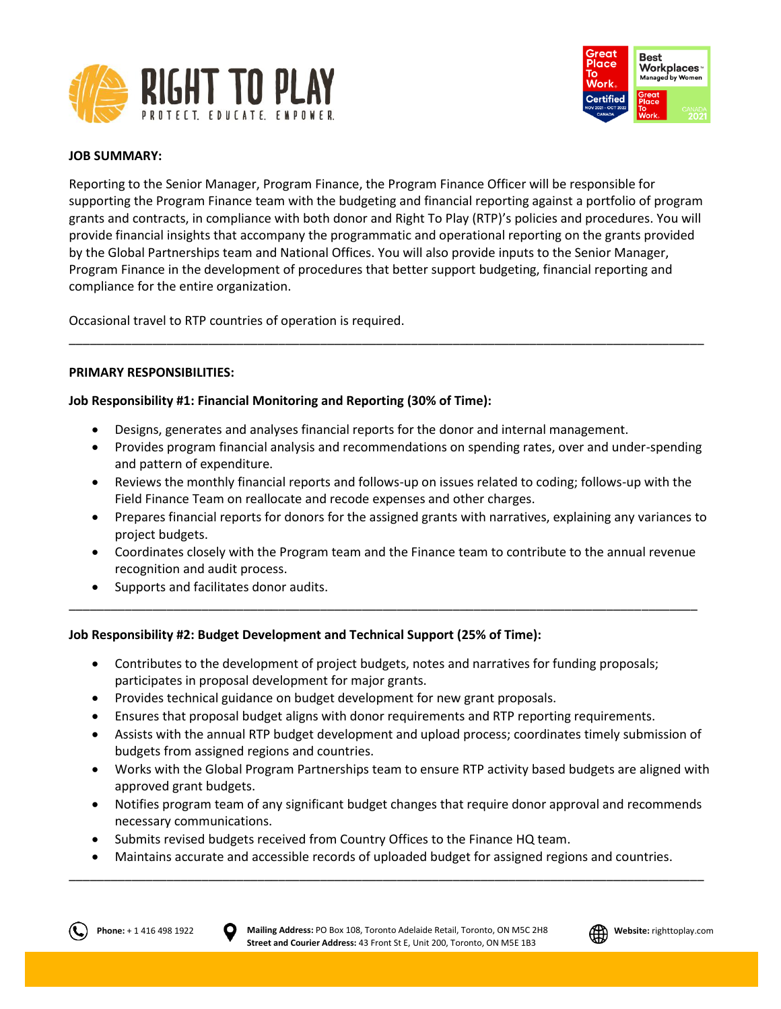



# **JOB SUMMARY:**

Reporting to the Senior Manager, Program Finance, the Program Finance Officer will be responsible for supporting the Program Finance team with the budgeting and financial reporting against a portfolio of program grants and contracts, in compliance with both donor and Right To Play (RTP)'s policies and procedures. You will provide financial insights that accompany the programmatic and operational reporting on the grants provided by the Global Partnerships team and National Offices. You will also provide inputs to the Senior Manager, Program Finance in the development of procedures that better support budgeting, financial reporting and compliance for the entire organization.

\_\_\_\_\_\_\_\_\_\_\_\_\_\_\_\_\_\_\_\_\_\_\_\_\_\_\_\_\_\_\_\_\_\_\_\_\_\_\_\_\_\_\_\_\_\_\_\_\_\_\_\_\_\_\_\_\_\_\_\_\_\_\_\_\_\_\_\_\_\_\_\_\_\_\_\_\_\_\_\_\_\_\_\_\_\_\_\_\_\_\_

Occasional travel to RTP countries of operation is required.

# **PRIMARY RESPONSIBILITIES:**

# **Job Responsibility #1: Financial Monitoring and Reporting (30% of Time):**

- Designs, generates and analyses financial reports for the donor and internal management.
- Provides program financial analysis and recommendations on spending rates, over and under-spending and pattern of expenditure.
- Reviews the monthly financial reports and follows-up on issues related to coding; follows-up with the Field Finance Team on reallocate and recode expenses and other charges.
- Prepares financial reports for donors for the assigned grants with narratives, explaining any variances to project budgets.
- Coordinates closely with the Program team and the Finance team to contribute to the annual revenue recognition and audit process.
- Supports and facilitates donor audits.

# **Job Responsibility #2: Budget Development and Technical Support (25% of Time):**

• Contributes to the development of project budgets, notes and narratives for funding proposals; participates in proposal development for major grants.

\_\_\_\_\_\_\_\_\_\_\_\_\_\_\_\_\_\_\_\_\_\_\_\_\_\_\_\_\_\_\_\_\_\_\_\_\_\_\_\_\_\_\_\_\_\_\_\_\_\_\_\_\_\_\_\_\_\_\_\_\_\_\_\_\_\_\_\_\_\_\_\_\_\_\_\_\_\_\_\_\_\_\_\_\_\_\_\_\_\_

- Provides technical guidance on budget development for new grant proposals.
- Ensures that proposal budget aligns with donor requirements and RTP reporting requirements.
- Assists with the annual RTP budget development and upload process; coordinates timely submission of budgets from assigned regions and countries.
- Works with the Global Program Partnerships team to ensure RTP activity based budgets are aligned with approved grant budgets.
- Notifies program team of any significant budget changes that require donor approval and recommends necessary communications.
- Submits revised budgets received from Country Offices to the Finance HQ team.
- Maintains accurate and accessible records of uploaded budget for assigned regions and countries. \_\_\_\_\_\_\_\_\_\_\_\_\_\_\_\_\_\_\_\_\_\_\_\_\_\_\_\_\_\_\_\_\_\_\_\_\_\_\_\_\_\_\_\_\_\_\_\_\_\_\_\_\_\_\_\_\_\_\_\_\_\_\_\_\_\_\_\_\_\_\_\_\_\_\_\_\_\_\_\_\_\_\_\_\_\_\_\_\_\_\_



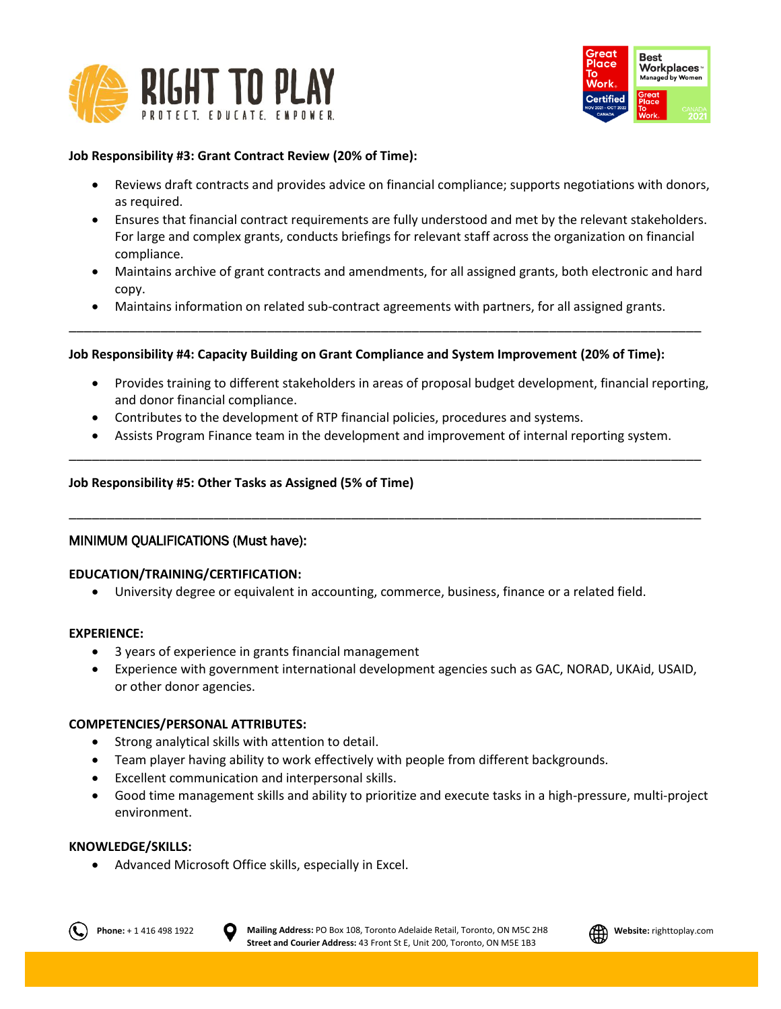



# **Job Responsibility #3: Grant Contract Review (20% of Time):**

- Reviews draft contracts and provides advice on financial compliance; supports negotiations with donors, as required.
- Ensures that financial contract requirements are fully understood and met by the relevant stakeholders. For large and complex grants, conducts briefings for relevant staff across the organization on financial compliance.
- Maintains archive of grant contracts and amendments, for all assigned grants, both electronic and hard copy.
- Maintains information on related sub-contract agreements with partners, for all assigned grants. \_\_\_\_\_\_\_\_\_\_\_\_\_\_\_\_\_\_\_\_\_\_\_\_\_\_\_\_\_\_\_\_\_\_\_\_\_\_\_\_\_\_\_\_\_\_\_\_\_\_\_\_\_\_\_\_\_\_\_\_\_\_\_\_\_\_\_\_\_\_\_\_\_\_\_\_\_\_\_\_\_\_\_

# **Job Responsibility #4: Capacity Building on Grant Compliance and System Improvement (20% of Time):**

- Provides training to different stakeholders in areas of proposal budget development, financial reporting, and donor financial compliance.
- Contributes to the development of RTP financial policies, procedures and systems.
- Assists Program Finance team in the development and improvement of internal reporting system. \_\_\_\_\_\_\_\_\_\_\_\_\_\_\_\_\_\_\_\_\_\_\_\_\_\_\_\_\_\_\_\_\_\_\_\_\_\_\_\_\_\_\_\_\_\_\_\_\_\_\_\_\_\_\_\_\_\_\_\_\_\_\_\_\_\_\_\_\_\_\_\_\_\_\_\_\_\_\_\_\_\_\_

\_\_\_\_\_\_\_\_\_\_\_\_\_\_\_\_\_\_\_\_\_\_\_\_\_\_\_\_\_\_\_\_\_\_\_\_\_\_\_\_\_\_\_\_\_\_\_\_\_\_\_\_\_\_\_\_\_\_\_\_\_\_\_\_\_\_\_\_\_\_\_\_\_\_\_\_\_\_\_\_\_\_\_

# **Job Responsibility #5: Other Tasks as Assigned (5% of Time)**

# MINIMUM QUALIFICATIONS (Must have):

# **EDUCATION/TRAINING/CERTIFICATION:**

• University degree or equivalent in accounting, commerce, business, finance or a related field.

#### **EXPERIENCE:**

- 3 years of experience in grants financial management
- Experience with government international development agencies such as GAC, NORAD, UKAid, USAID, or other donor agencies.

# **COMPETENCIES/PERSONAL ATTRIBUTES:**

- Strong analytical skills with attention to detail.
- Team player having ability to work effectively with people from different backgrounds.
- Excellent communication and interpersonal skills.
- Good time management skills and ability to prioritize and execute tasks in a high-pressure, multi-project environment.

# **KNOWLEDGE/SKILLS:**

• Advanced Microsoft Office skills, especially in Excel.



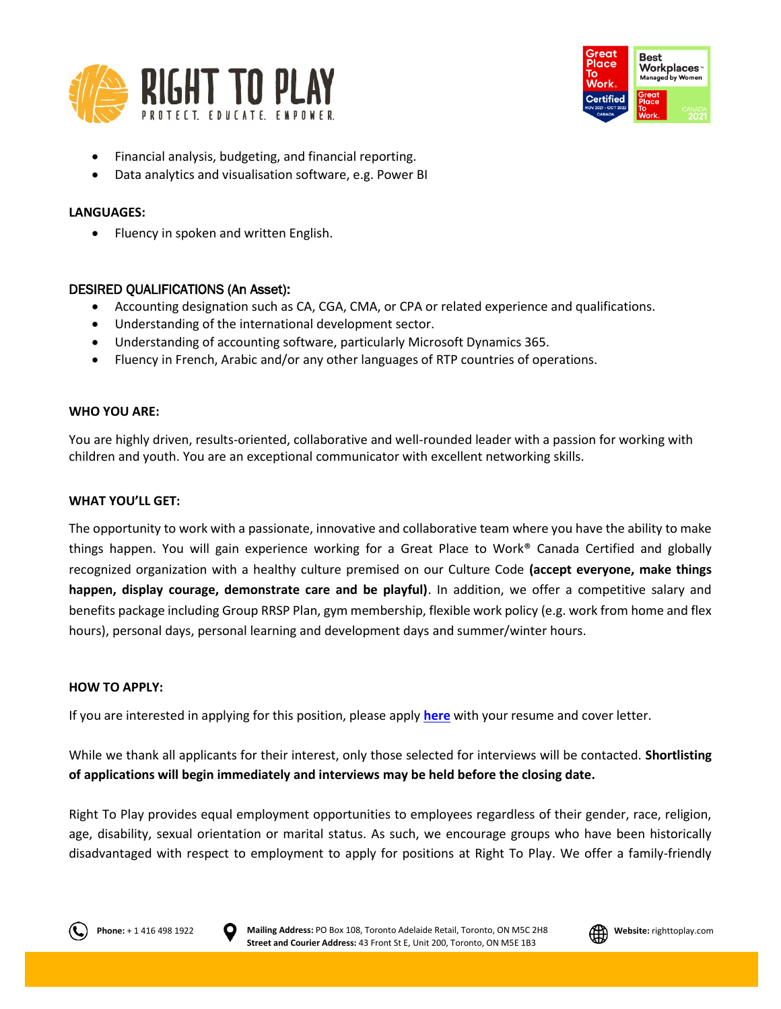



- Financial analysis, budgeting, and financial reporting.
- Data analytics and visualisation software, e.g. Power BI

# **LANGUAGES:**

• Fluency in spoken and written English.

# DESIRED QUALIFICATIONS (An Asset):

- Accounting designation such as CA, CGA, CMA, or CPA or related experience and qualifications.
- Understanding of the international development sector.
- Understanding of accounting software, particularly Microsoft Dynamics 365.
- Fluency in French, Arabic and/or any other languages of RTP countries of operations.

### **WHO YOU ARE:**

You are highly driven, results-oriented, collaborative and well-rounded leader with a passion for working with children and youth. You are an exceptional communicator with excellent networking skills.

### **WHAT YOU'LL GET:**

The opportunity to work with a passionate, innovative and collaborative team where you have the ability to make things happen. You will gain experience working for a Great Place to Work® Canada Certified and globally recognized organization with a healthy culture premised on our Culture Code **(accept everyone, make things happen, display courage, demonstrate care and be playful)**. In addition, we offer a competitive salary and benefits package including Group RRSP Plan, gym membership, flexible work policy (e.g. work from home and flex hours), personal days, personal learning and development days and summer/winter hours.

#### **HOW TO APPLY:**

If you are interested in applying for this position, please apply **[here](https://righttoplay.hiringplatform.ca/59041-program-finance-officer/206050-application-form/en)** with your resume and cover letter.

While we thank all applicants for their interest, only those selected for interviews will be contacted. **Shortlisting of applications will begin immediately and interviews may be held before the closing date.**

Right To Play provides equal employment opportunities to employees regardless of their gender, race, religion, age, disability, sexual orientation or marital status. As such, we encourage groups who have been historically disadvantaged with respect to employment to apply for positions at Right To Play. We offer a family-friendly





**Phone:** + 1 416 498 1922 **D** Mailing Address: PO Box 108, Toronto Adelaide Retail, Toronto, ON M5C 2H8 **All Website:** righttoplay.com **Street and Courier Address:** 43 Front St E, Unit 200, Toronto, ON M5E 1B3